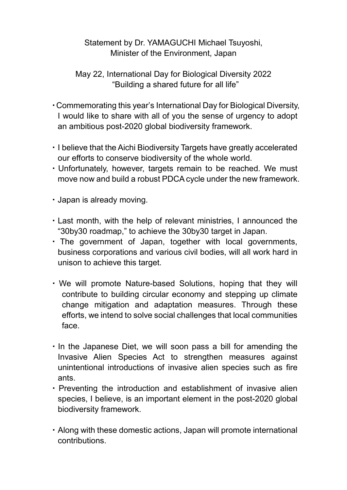## Statement by Dr. YAMAGUCHI Michael Tsuyoshi, Minister of the Environment, Japan

May 22, International Day for Biological Diversity 2022 "Building a shared future for all life"

- ・Commemorating this year's International Day for Biological Diversity, I would like to share with all of you the sense of urgency to adopt an ambitious post-2020 global biodiversity framework.
- ・I believe that the Aichi Biodiversity Targets have greatly accelerated our efforts to conserve biodiversity of the whole world.
- ・Unfortunately, however, targets remain to be reached. We must move now and build a robust PDCA cycle under the new framework.
- ・Japan is already moving.
- ・Last month, with the help of relevant ministries, I announced the "30by30 roadmap," to achieve the 30by30 target in Japan.
- ・ The government of Japan, together with local governments, business corporations and various civil bodies, will all work hard in unison to achieve this target.
- ・We will promote Nature-based Solutions, hoping that they will contribute to building circular economy and stepping up climate change mitigation and adaptation measures. Through these efforts, we intend to solve social challenges that local communities face.
- ・In the Japanese Diet, we will soon pass a bill for amending the Invasive Alien Species Act to strengthen measures against unintentional introductions of invasive alien species such as fire ants.
- ・Preventing the introduction and establishment of invasive alien species, I believe, is an important element in the post-2020 global biodiversity framework.
- ・Along with these domestic actions, Japan will promote international contributions.